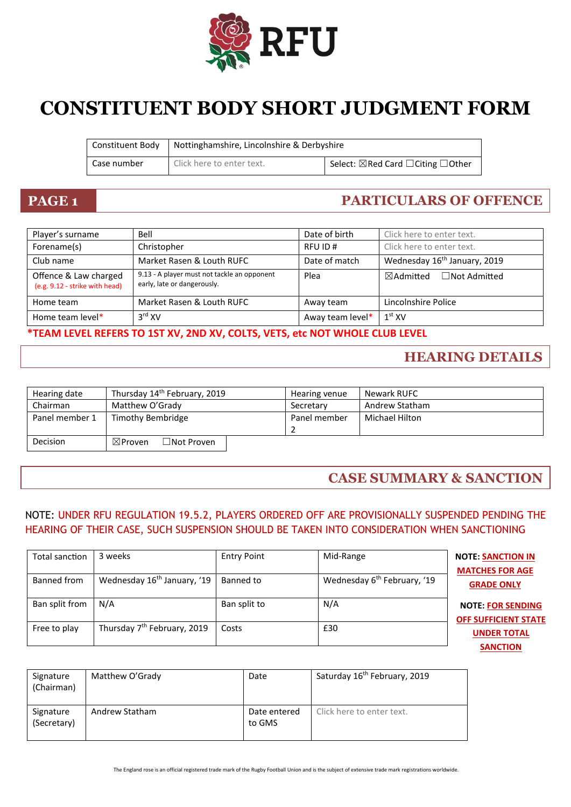

# **CONSTITUENT BODY SHORT JUDGMENT FORM**

| Constituent Body | Nottinghamshire, Lincolnshire & Derbyshire |                                                         |
|------------------|--------------------------------------------|---------------------------------------------------------|
| Case number      | Click here to enter text.                  | Select: $\boxtimes$ Red Card $\Box$ Citing $\Box$ Other |

## **PAGE 1 PARTICULARS OF OFFENCE**

| Player's surname                                        | Bell                                                                       | Date of birth    | Click here to enter text.                   |
|---------------------------------------------------------|----------------------------------------------------------------------------|------------------|---------------------------------------------|
| Forename(s)                                             | Christopher                                                                | RFU ID#          | Click here to enter text.                   |
| Club name                                               | Market Rasen & Louth RUFC                                                  | Date of match    | Wednesday 16 <sup>th</sup> January, 2019    |
| Offence & Law charged<br>(e.g. 9.12 - strike with head) | 9.13 - A player must not tackle an opponent<br>early, late or dangerously. | Plea             | $\boxtimes$ Admitted<br>$\Box$ Not Admitted |
| Home team                                               | Market Rasen & Louth RUFC                                                  | Away team        | Lincolnshire Police                         |
| Home team level*                                        | $3rd$ XV                                                                   | Away team level* | $1^\mathrm{st}$ XV                          |

### **\*TEAM LEVEL REFERS TO 1ST XV, 2ND XV, COLTS, VETS, etc NOT WHOLE CLUB LEVEL**

### **HEARING DETAILS**

| Hearing date   | Thursday 14th February, 2019                 | Hearing venue | Newark RUFC    |
|----------------|----------------------------------------------|---------------|----------------|
| Chairman       | Matthew O'Grady                              | Secretary     | Andrew Statham |
| Panel member 1 | Timothy Bembridge                            | Panel member  | Michael Hilton |
| Decision       | $\exists$ Not Proven .<br>$\boxtimes$ Proven |               |                |

### **CASE SUMMARY & SANCTION**

### NOTE: UNDER RFU REGULATION 19.5.2, PLAYERS ORDERED OFF ARE PROVISIONALLY SUSPENDED PENDING THE HEARING OF THEIR CASE, SUCH SUSPENSION SHOULD BE TAKEN INTO CONSIDERATION WHEN SANCTIONING

| Total sanction | 3 weeks                                 | <b>Entry Point</b> | Mid-Range                               | <b>NOTE: SANCTION IN</b><br><b>MATCHES FOR AGE</b>      |
|----------------|-----------------------------------------|--------------------|-----------------------------------------|---------------------------------------------------------|
| Banned from    | Wednesday 16 <sup>th</sup> January, '19 | Banned to          | Wednesday 6 <sup>th</sup> February, '19 | <b>GRADE ONLY</b>                                       |
| Ban split from | N/A                                     | Ban split to       | N/A                                     | <b>NOTE: FOR SENDING</b><br><b>OFF SUFFICIENT STATE</b> |
| Free to play   | Thursday 7 <sup>th</sup> February, 2019 | Costs              | £30                                     | <b>UNDER TOTAL</b><br><b>SANCTION</b>                   |

| Signature<br>(Chairman)  | Matthew O'Grady | Date                   | Saturday 16 <sup>th</sup> February, 2019 |
|--------------------------|-----------------|------------------------|------------------------------------------|
| Signature<br>(Secretary) | Andrew Statham  | Date entered<br>to GMS | Click here to enter text.                |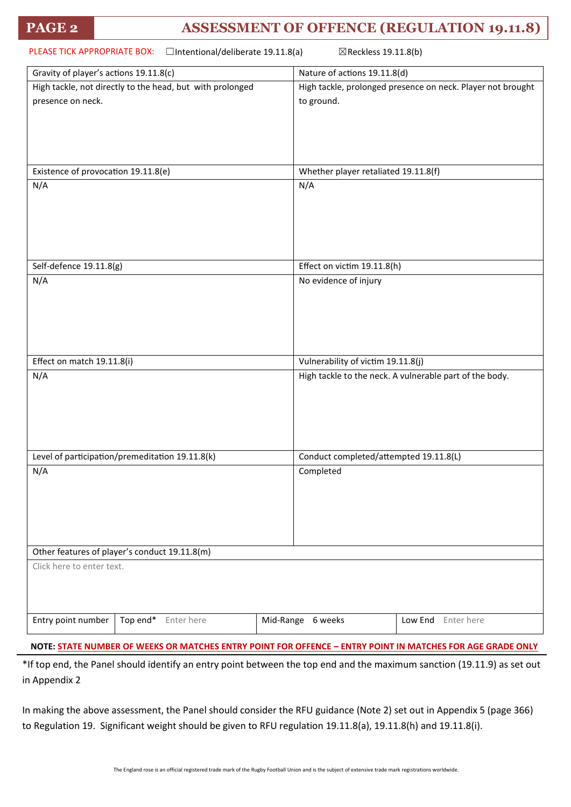### **PAGE 2 ASSESSMENT OF OFFENCE (REGULATION 19.11.8)**

| PLEASE TICK APPROPRIATE BOX:<br>□Intentional/deliberate 19.11.8(a)<br>⊠Reckless 19.11.8(b) |                                                             |  |  |  |
|--------------------------------------------------------------------------------------------|-------------------------------------------------------------|--|--|--|
| Gravity of player's actions 19.11.8(c)                                                     | Nature of actions 19.11.8(d)                                |  |  |  |
| High tackle, not directly to the head, but with prolonged                                  | High tackle, prolonged presence on neck. Player not brought |  |  |  |
| presence on neck.                                                                          | to ground.                                                  |  |  |  |
|                                                                                            |                                                             |  |  |  |
|                                                                                            |                                                             |  |  |  |
|                                                                                            |                                                             |  |  |  |
|                                                                                            |                                                             |  |  |  |
| Existence of provocation 19.11.8(e)                                                        | Whether player retaliated 19.11.8(f)                        |  |  |  |
| N/A                                                                                        | N/A                                                         |  |  |  |
|                                                                                            |                                                             |  |  |  |
|                                                                                            |                                                             |  |  |  |
|                                                                                            |                                                             |  |  |  |
|                                                                                            |                                                             |  |  |  |
|                                                                                            |                                                             |  |  |  |
| Self-defence 19.11.8(g)                                                                    | Effect on victim 19.11.8(h)                                 |  |  |  |
| N/A                                                                                        | No evidence of injury                                       |  |  |  |
|                                                                                            |                                                             |  |  |  |
|                                                                                            |                                                             |  |  |  |
|                                                                                            |                                                             |  |  |  |
|                                                                                            |                                                             |  |  |  |
|                                                                                            |                                                             |  |  |  |
| Effect on match 19.11.8(i)                                                                 | Vulnerability of victim 19.11.8(j)                          |  |  |  |
| N/A                                                                                        | High tackle to the neck. A vulnerable part of the body.     |  |  |  |
|                                                                                            |                                                             |  |  |  |
|                                                                                            |                                                             |  |  |  |
|                                                                                            |                                                             |  |  |  |
|                                                                                            |                                                             |  |  |  |
| Level of participation/premeditation 19.11.8(k)                                            | Conduct completed/attempted 19.11.8(L)                      |  |  |  |
| N/A                                                                                        | Completed                                                   |  |  |  |
|                                                                                            |                                                             |  |  |  |
|                                                                                            |                                                             |  |  |  |
|                                                                                            |                                                             |  |  |  |
|                                                                                            |                                                             |  |  |  |
|                                                                                            |                                                             |  |  |  |
| Other features of player's conduct 19.11.8(m)                                              |                                                             |  |  |  |
| Click here to enter text.                                                                  |                                                             |  |  |  |
|                                                                                            |                                                             |  |  |  |
|                                                                                            |                                                             |  |  |  |
|                                                                                            |                                                             |  |  |  |
| Entry point number<br>Top end*<br>Enter here                                               | Mid-Range 6 weeks<br>Low End Enter here                     |  |  |  |
|                                                                                            |                                                             |  |  |  |

**NOTE: STATE NUMBER OF WEEKS OR MATCHES ENTRY POINT FOR OFFENCE – ENTRY POINT IN MATCHES FOR AGE GRADE ONLY**

\*If top end, the Panel should identify an entry point between the top end and the maximum sanction (19.11.9) as set out in Appendix 2

In making the above assessment, the Panel should consider the RFU guidance (Note 2) set out in Appendix 5 (page 366) to Regulation 19. Significant weight should be given to RFU regulation 19.11.8(a), 19.11.8(h) and 19.11.8(i).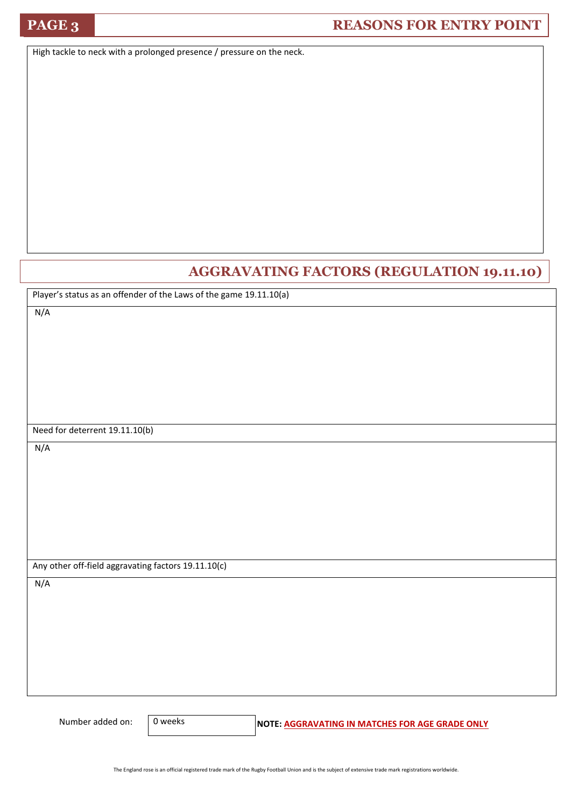### **PAGE 3 REASONS FOR ENTRY POINT**

High tackle to neck with a prolonged presence / pressure on the neck.

### **AGGRAVATING FACTORS (REGULATION 19.11.10)**

Player's status as an offender of the Laws of the game 19.11.10(a)

N/A

Need for deterrent 19.11.10(b)

N/A

Any other off-field aggravating factors 19.11.10(c)

N/A

0 weeks

Number added on: 0 weeks **NOTE: AGGRAVATING IN MATCHES FOR AGE GRADE ONLY**